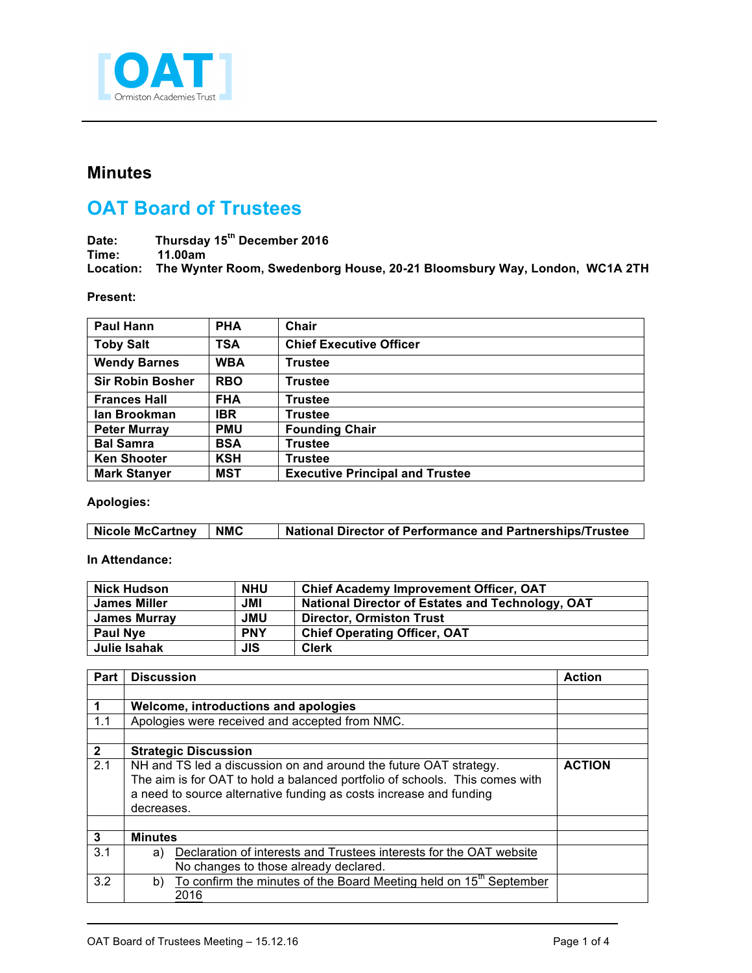

## **Minutes**

## **OAT Board of Trustees**

**Date: Thursday 15th December 2016 Time: 11.00am Location: The Wynter Room, Swedenborg House, 20-21 Bloomsbury Way, London, WC1A 2TH**

## **Present:**

| <b>Paul Hann</b>        | <b>PHA</b> | Chair                                  |
|-------------------------|------------|----------------------------------------|
| <b>Toby Salt</b>        | <b>TSA</b> | <b>Chief Executive Officer</b>         |
| <b>Wendy Barnes</b>     | <b>WBA</b> | <b>Trustee</b>                         |
| <b>Sir Robin Bosher</b> | <b>RBO</b> | <b>Trustee</b>                         |
| <b>Frances Hall</b>     | <b>FHA</b> | <b>Trustee</b>                         |
| lan Brookman            | <b>IBR</b> | <b>Trustee</b>                         |
| <b>Peter Murray</b>     | <b>PMU</b> | <b>Founding Chair</b>                  |
| <b>Bal Samra</b>        | <b>BSA</b> | <b>Trustee</b>                         |
| <b>Ken Shooter</b>      | <b>KSH</b> | <b>Trustee</b>                         |
| <b>Mark Stanyer</b>     | <b>MST</b> | <b>Executive Principal and Trustee</b> |

**Apologies:**

| Nicole McCartney   NMC | National Director of Performance and Partnerships/Trustee |
|------------------------|-----------------------------------------------------------|
|------------------------|-----------------------------------------------------------|

**In Attendance:**

| Nick Hudson         | <b>NHU</b> | <b>Chief Academy Improvement Officer, OAT</b>    |
|---------------------|------------|--------------------------------------------------|
| <b>James Miller</b> | <b>JMI</b> | National Director of Estates and Technology, OAT |
| James Murray        | <b>JMU</b> | <b>Director, Ormiston Trust</b>                  |
| <b>Paul Nye</b>     | <b>PNY</b> | <b>Chief Operating Officer, OAT</b>              |
| Julie Isahak        | JIS        | <b>Clerk</b>                                     |

| Part         | <b>Discussion</b>                                                                    | <b>Action</b> |
|--------------|--------------------------------------------------------------------------------------|---------------|
|              |                                                                                      |               |
|              | Welcome, introductions and apologies                                                 |               |
| 1.1          | Apologies were received and accepted from NMC.                                       |               |
|              |                                                                                      |               |
| $\mathbf{2}$ | <b>Strategic Discussion</b>                                                          |               |
| 2.1          | NH and TS led a discussion on and around the future OAT strategy.                    | <b>ACTION</b> |
|              | The aim is for OAT to hold a balanced portfolio of schools. This comes with          |               |
|              | a need to source alternative funding as costs increase and funding                   |               |
|              | decreases.                                                                           |               |
|              |                                                                                      |               |
| 3            | <b>Minutes</b>                                                                       |               |
| 3.1          | Declaration of interests and Trustees interests for the OAT website<br>a)            |               |
|              | No changes to those already declared.                                                |               |
| 3.2          | To confirm the minutes of the Board Meeting held on 15 <sup>th</sup> September<br>b) |               |
|              | 2016                                                                                 |               |

j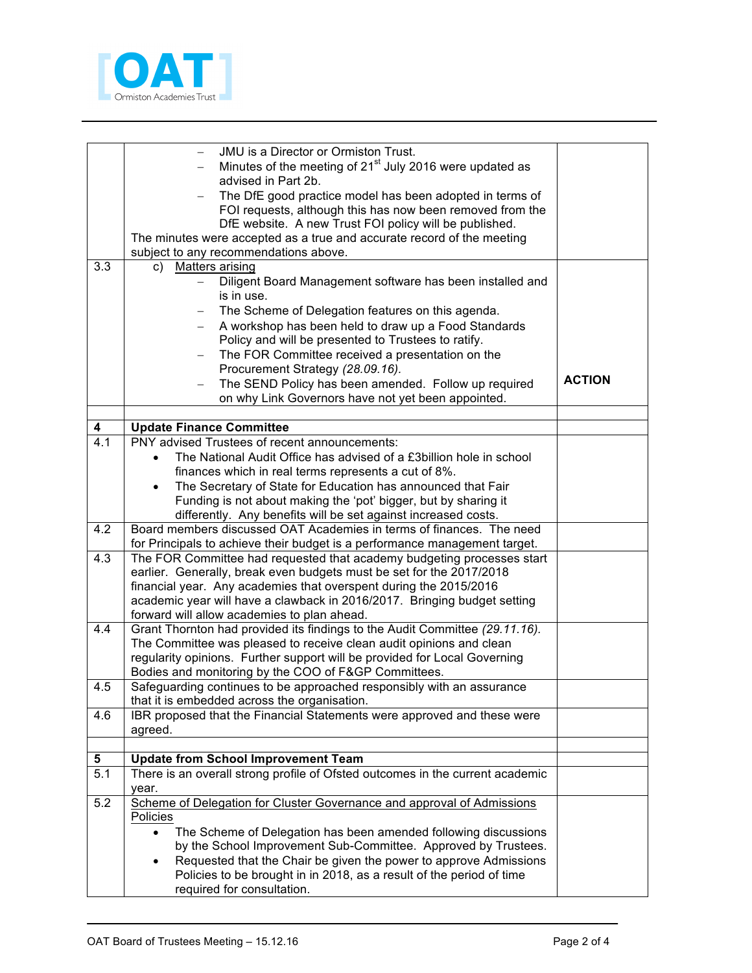

|                  | JMU is a Director or Ormiston Trust.<br>Minutes of the meeting of 21 <sup>st</sup> July 2016 were updated as<br>advised in Part 2b.<br>The DfE good practice model has been adopted in terms of<br>FOI requests, although this has now been removed from the<br>DfE website. A new Trust FOI policy will be published.<br>The minutes were accepted as a true and accurate record of the meeting                                                                           |               |
|------------------|----------------------------------------------------------------------------------------------------------------------------------------------------------------------------------------------------------------------------------------------------------------------------------------------------------------------------------------------------------------------------------------------------------------------------------------------------------------------------|---------------|
|                  | subject to any recommendations above.                                                                                                                                                                                                                                                                                                                                                                                                                                      |               |
| 3.3              | Matters arising<br>C)<br>Diligent Board Management software has been installed and<br>is in use.<br>The Scheme of Delegation features on this agenda.<br>A workshop has been held to draw up a Food Standards<br>Policy and will be presented to Trustees to ratify.<br>The FOR Committee received a presentation on the<br>Procurement Strategy (28.09.16).<br>The SEND Policy has been amended. Follow up required<br>on why Link Governors have not yet been appointed. | <b>ACTION</b> |
|                  |                                                                                                                                                                                                                                                                                                                                                                                                                                                                            |               |
| 4                | <b>Update Finance Committee</b>                                                                                                                                                                                                                                                                                                                                                                                                                                            |               |
| $\overline{4}.1$ | PNY advised Trustees of recent announcements:<br>The National Audit Office has advised of a £3billion hole in school<br>finances which in real terms represents a cut of 8%.<br>The Secretary of State for Education has announced that Fair<br>$\bullet$<br>Funding is not about making the 'pot' bigger, but by sharing it<br>differently. Any benefits will be set against increased costs.                                                                             |               |
| 4.2              | Board members discussed OAT Academies in terms of finances. The need<br>for Principals to achieve their budget is a performance management target.                                                                                                                                                                                                                                                                                                                         |               |
| 4.3              | The FOR Committee had requested that academy budgeting processes start<br>earlier. Generally, break even budgets must be set for the 2017/2018<br>financial year. Any academies that overspent during the 2015/2016<br>academic year will have a clawback in 2016/2017. Bringing budget setting<br>forward will allow academies to plan ahead.                                                                                                                             |               |
| 4.4              | Grant Thornton had provided its findings to the Audit Committee (29.11.16).<br>The Committee was pleased to receive clean audit opinions and clean<br>regularity opinions. Further support will be provided for Local Governing<br>Bodies and monitoring by the COO of F&GP Committees.                                                                                                                                                                                    |               |
| 4.5              | Safeguarding continues to be approached responsibly with an assurance<br>that it is embedded across the organisation.                                                                                                                                                                                                                                                                                                                                                      |               |
| 4.6              | IBR proposed that the Financial Statements were approved and these were<br>agreed.                                                                                                                                                                                                                                                                                                                                                                                         |               |
| 5                | <b>Update from School Improvement Team</b>                                                                                                                                                                                                                                                                                                                                                                                                                                 |               |
| 5.1              | There is an overall strong profile of Ofsted outcomes in the current academic<br>year.                                                                                                                                                                                                                                                                                                                                                                                     |               |
| 5.2              | Scheme of Delegation for Cluster Governance and approval of Admissions<br>Policies<br>The Scheme of Delegation has been amended following discussions<br>$\bullet$<br>by the School Improvement Sub-Committee. Approved by Trustees.<br>Requested that the Chair be given the power to approve Admissions<br>Policies to be brought in in 2018, as a result of the period of time<br>required for consultation.                                                            |               |

j